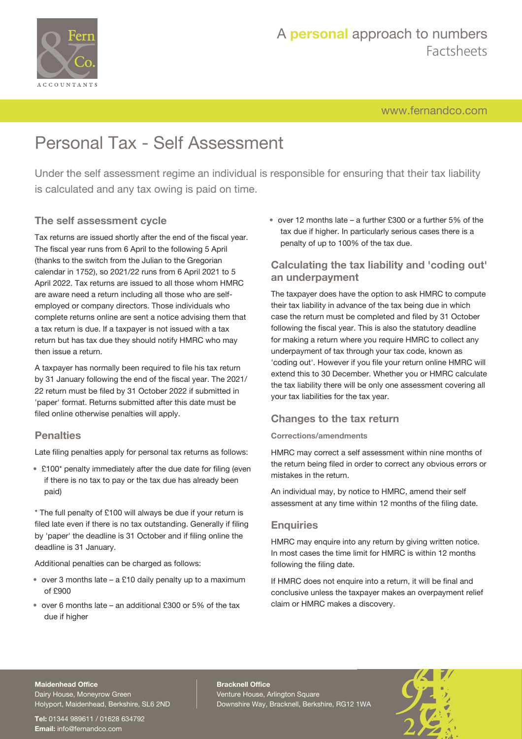

# A **personal** approach to numbers Factsheets

[www.fernandco.com](http://www.fernandco.com)

# Personal Tax - Self Assessment

Under the self assessment regime an individual is responsible for ensuring that their tax liability is calculated and any tax owing is paid on time.

### **The self assessment cycle**

Tax returns are issued shortly after the end of the fiscal year. The fiscal year runs from 6 April to the following 5 April (thanks to the switch from the Julian to the Gregorian calendar in 1752), so 2021/22 runs from 6 April 2021 to 5 April 2022. Tax returns are issued to all those whom HMRC are aware need a return including all those who are selfemployed or company directors. Those individuals who complete returns online are sent a notice advising them that a tax return is due. If a taxpayer is not issued with a tax return but has tax due they should notify HMRC who may then issue a return.

A taxpayer has normally been required to file his tax return by 31 January following the end of the fiscal year. The 2021/ 22 return must be filed by 31 October 2022 if submitted in 'paper' format. Returns submitted after this date must be filed online otherwise penalties will apply.

### **Penalties**

Late filing penalties apply for personal tax returns as follows:

• £100\* penalty immediately after the due date for filing (even if there is no tax to pay or the tax due has already been paid)

\* The full penalty of £100 will always be due if your return is filed late even if there is no tax outstanding. Generally if filing by 'paper' the deadline is 31 October and if filing online the deadline is 31 January.

Additional penalties can be charged as follows:

- over 3 months late a £10 daily penalty up to a maximum of £900
- over 6 months late an additional £300 or 5% of the tax due if higher

• over 12 months late – a further £300 or a further 5% of the tax due if higher. In particularly serious cases there is a penalty of up to 100% of the tax due.

## **Calculating the tax liability and 'coding out' an underpayment**

The taxpayer does have the option to ask HMRC to compute their tax liability in advance of the tax being due in which case the return must be completed and filed by 31 October following the fiscal year. This is also the statutory deadline for making a return where you require HMRC to collect any underpayment of tax through your tax code, known as 'coding out'. However if you file your return online HMRC will extend this to 30 December. Whether you or HMRC calculate the tax liability there will be only one assessment covering all your tax liabilities for the tax year.

### **Changes to the tax return**

### **Corrections/amendments**

HMRC may correct a self assessment within nine months of the return being filed in order to correct any obvious errors or mistakes in the return.

An individual may, by notice to HMRC, amend their self assessment at any time within 12 months of the filing date.

### **Enquiries**

HMRC may enquire into any return by giving written notice. In most cases the time limit for HMRC is within 12 months following the filing date.

If HMRC does not enquire into a return, it will be final and conclusive unless the taxpayer makes an overpayment relief claim or HMRC makes a discovery.

#### **Maidenhead Office**

Dairy House, Moneyrow Green Holyport, Maidenhead, Berkshire, SL6 2ND

**Tel:** 01344 989611 / 01628 634792 **Email:** [info@fernandco.com](mailto:info@fernandco.com)

**Bracknell Office** Venture House, Arlington Square Downshire Way, Bracknell, Berkshire, RG12 1WA